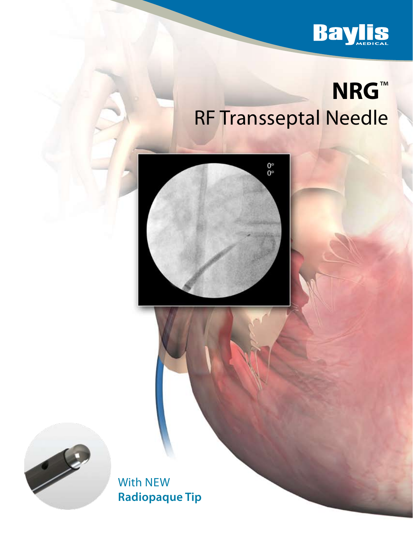

# **NRG**™ RF Transseptal Needle

 $0^{\circ}_{\circ}$ 



With New **Radiopaque Tip**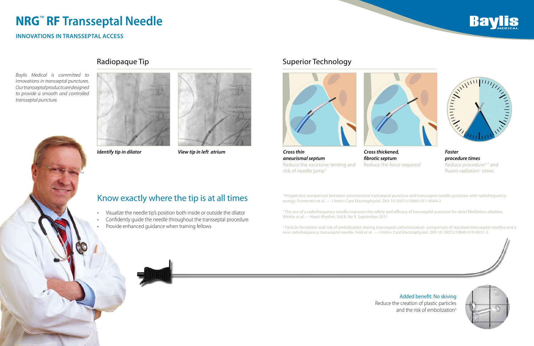## Know exactly where the tip is at all times

- Visualize the needle tip's position both inside or outside the dilator
- Confidently quide the needle throughout the transseptal procedure
- Provide enhanced guidance when training fellows

*aneurismal septum*  Reduce the excessive tenting and risk of needle jump $1$ 

*Faster procedure times*  Reduce procedure<sup>1-2</sup> and fluoro-radiation<sup>1</sup> times

*Cross thickened, fibrotic septum* Reduce the force required<sup>1</sup>

Added benefit: No skiving Reduce the creation of plastic particles and the risk of embolization<sup>3</sup>





*Identify tip in dilator View tip in left atrium Cross thin*



## Radiopaque Tip **Superior Technology Radiopaque Tip** Superior Technology



<sup>3</sup> Particle formation and risk of embolization during transseptal catheterization: comparison of standard transseptal needles and a new radiofrequency transseptal needle. Feld et al. — J Interv Card Electrophysiol. DOI 10.1007/s10840-010-9531-3







### *Baylis Medical is committed to innovations in transseptal punctures. Our transseptal products are designed to provide a smooth and controlled transseptal puncture.*



1 Prospective comparison between conventional transseptal puncture and transseptal needle puncture with radiofrequency energy. Fromentin et al. — J Interv Card Electrophysiol. DOI 10.1007/s10840-011-9564-2

2 The use of a radiofrequency needle improves the safety and efficacy of transseptal puncture for atrial fibrillation ablation. Winkle et al.— Heart Rhythm, Vol 8, No 9, September 2011

# **NRG**™ **RF Transseptal Needle**

## **Innovations in transseptal access**